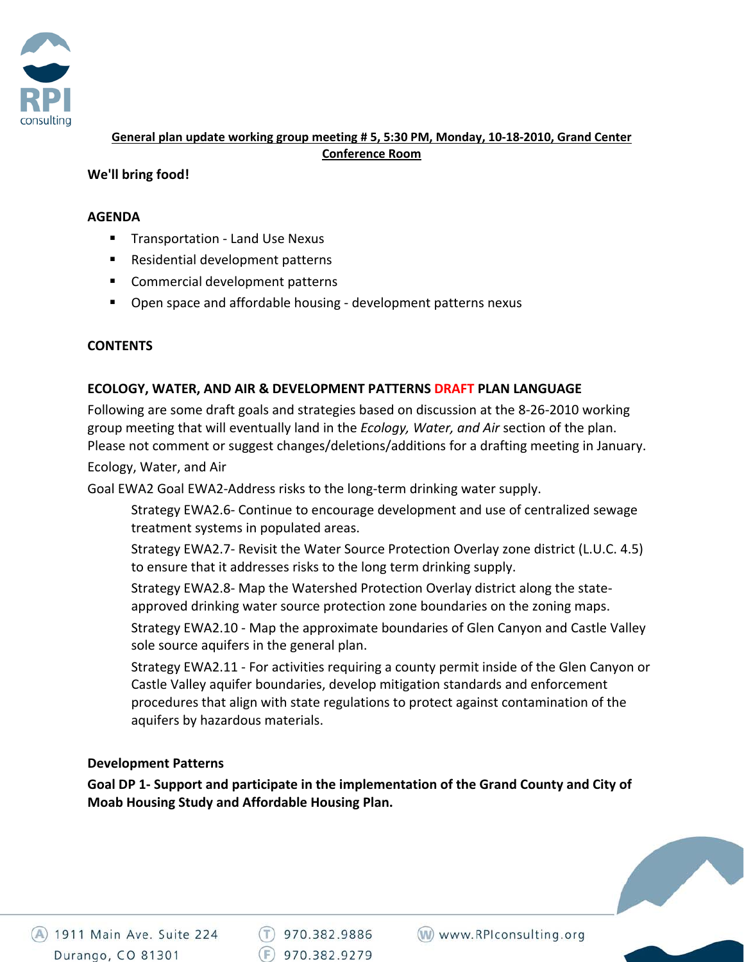

**General plan update working group meeting # 5, 5:30 PM, Monday, 10‐18‐2010, Grand Center Conference Room**

### **We'll bring food!**

#### **AGENDA**

- Transportation Land Use Nexus
- Residential development patterns
- **Commercial development patterns**
- Open space and affordable housing development patterns nexus

### **CONTENTS**

### **ECOLOGY, WATER, AND AIR & DEVELOPMENT PATTERNS DRAFT PLAN LANGUAGE**

Following are some draft goals and strategies based on discussion at the 8‐26‐2010 working group meeting that will eventually land in the *Ecology, Water, and Air* section of the plan. Please not comment or suggest changes/deletions/additions for a drafting meeting in January.

Ecology, Water, and Air

Goal EWA2 Goal EWA2‐Address risks to the long‐term drinking water supply.

Strategy EWA2.6‐ Continue to encourage development and use of centralized sewage treatment systems in populated areas.

Strategy EWA2.7‐ Revisit the Water Source Protection Overlay zone district (L.U.C. 4.5) to ensure that it addresses risks to the long term drinking supply.

Strategy EWA2.8‐ Map the Watershed Protection Overlay district along the state‐ approved drinking water source protection zone boundaries on the zoning maps.

Strategy EWA2.10 ‐ Map the approximate boundaries of Glen Canyon and Castle Valley sole source aquifers in the general plan.

Strategy EWA2.11 ‐ For activities requiring a county permit inside of the Glen Canyon or Castle Valley aquifer boundaries, develop mitigation standards and enforcement procedures that align with state regulations to protect against contamination of the aquifers by hazardous materials.

### **Development Patterns**

**Goal DP 1‐ Support and participate in the implementation of the Grand County and City of Moab Housing Study and Affordable Housing Plan.**



 $(T)$  970.382.9886  $(F)$  970.382.9279

(W) www.RPIconsulting.org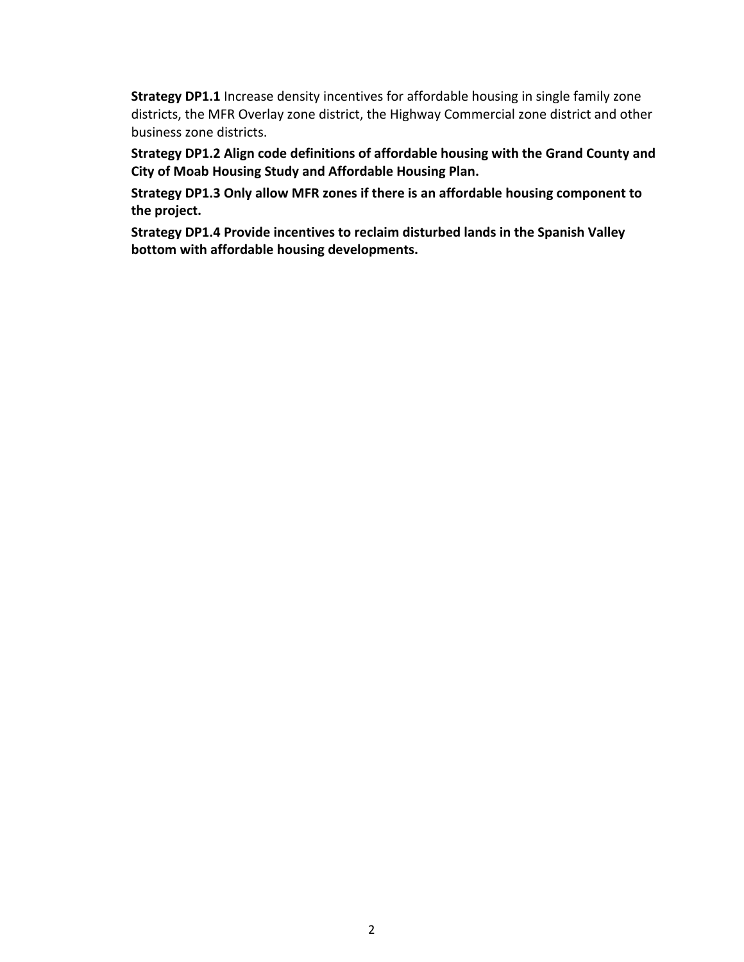**Strategy DP1.1** Increase density incentives for affordable housing in single family zone districts, the MFR Overlay zone district, the Highway Commercial zone district and other business zone districts.

**Strategy DP1.2 Align code definitions of affordable housing with the Grand County and City of Moab Housing Study and Affordable Housing Plan.**

**Strategy DP1.3 Only allow MFR zones if there is an affordable housing component to the project.** 

**Strategy DP1.4 Provide incentives to reclaim disturbed lands in the Spanish Valley bottom with affordable housing developments.**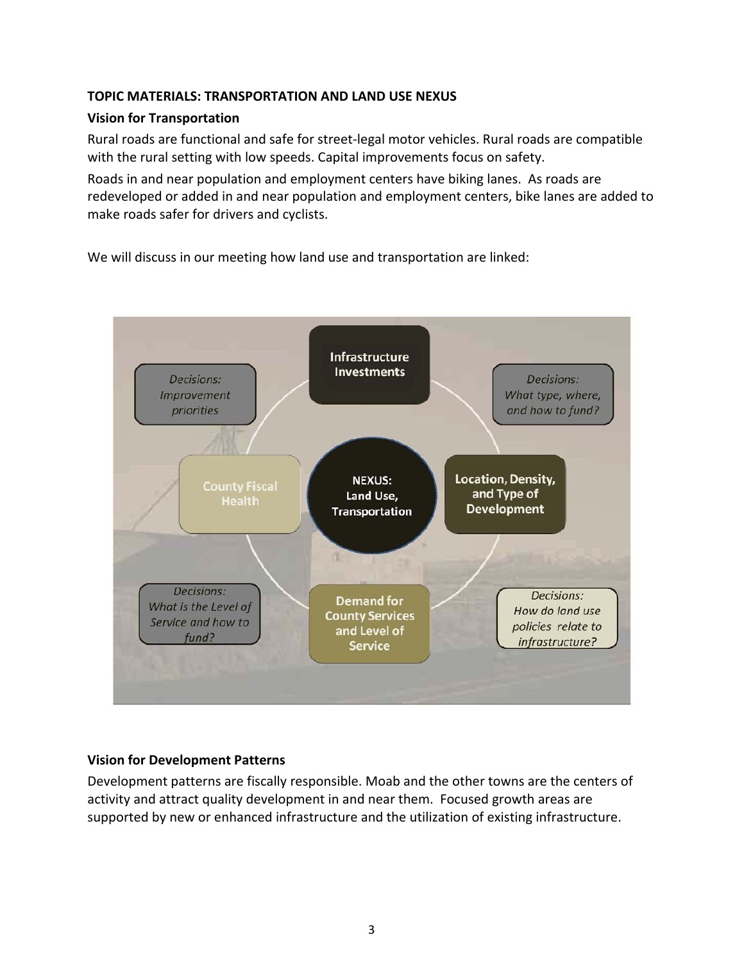# **TOPIC MATERIALS: TRANSPORTATION AND LAND USE NEXUS**

# **Vision for Transportation**

Rural roads are functional and safe for street‐legal motor vehicles. Rural roads are compatible with the rural setting with low speeds. Capital improvements focus on safety.

Roads in and near population and employment centers have biking lanes. As roads are redeveloped or added in and near population and employment centers, bike lanes are added to make roads safer for drivers and cyclists.

We will discuss in our meeting how land use and transportation are linked:



# **Vision for Development Patterns**

Development patterns are fiscally responsible. Moab and the other towns are the centers of activity and attract quality development in and near them. Focused growth areas are supported by new or enhanced infrastructure and the utilization of existing infrastructure.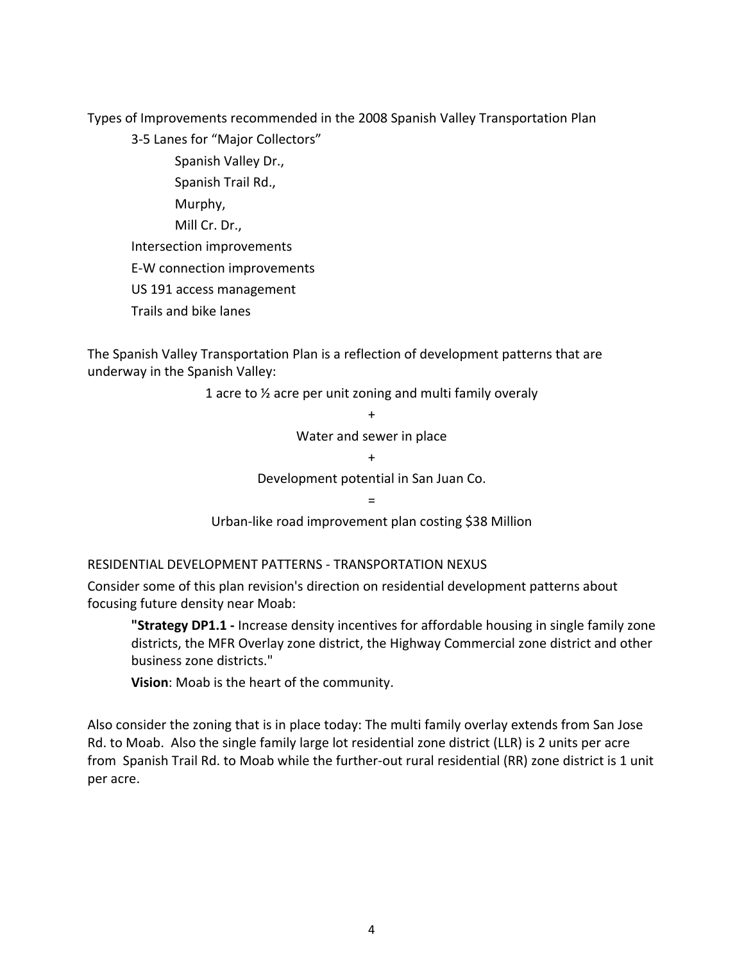Types of Improvements recommended in the 2008 Spanish Valley Transportation Plan

3‐5 Lanes for "Major Collectors"

 Spanish Valley Dr., Spanish Trail Rd., Murphy, Mill Cr. Dr., Intersection improvements E‐W connection improvements US 191 access management Trails and bike lanes

The Spanish Valley Transportation Plan is a reflection of development patterns that are underway in the Spanish Valley:

> 1 acre to ½ acre per unit zoning and multi family overaly +

> > Water and sewer in place

 $+$ 

Development potential in San Juan Co.

=

Urban‐like road improvement plan costing \$38 Million

RESIDENTIAL DEVELOPMENT PATTERNS ‐ TRANSPORTATION NEXUS

Consider some of this plan revision's direction on residential development patterns about focusing future density near Moab:

**"Strategy DP1.1 ‐** Increase density incentives for affordable housing in single family zone districts, the MFR Overlay zone district, the Highway Commercial zone district and other business zone districts."

**Vision**: Moab is the heart of the community.

Also consider the zoning that is in place today: The multi family overlay extends from San Jose Rd. to Moab. Also the single family large lot residential zone district (LLR) is 2 units per acre from Spanish Trail Rd. to Moab while the further-out rural residential (RR) zone district is 1 unit per acre.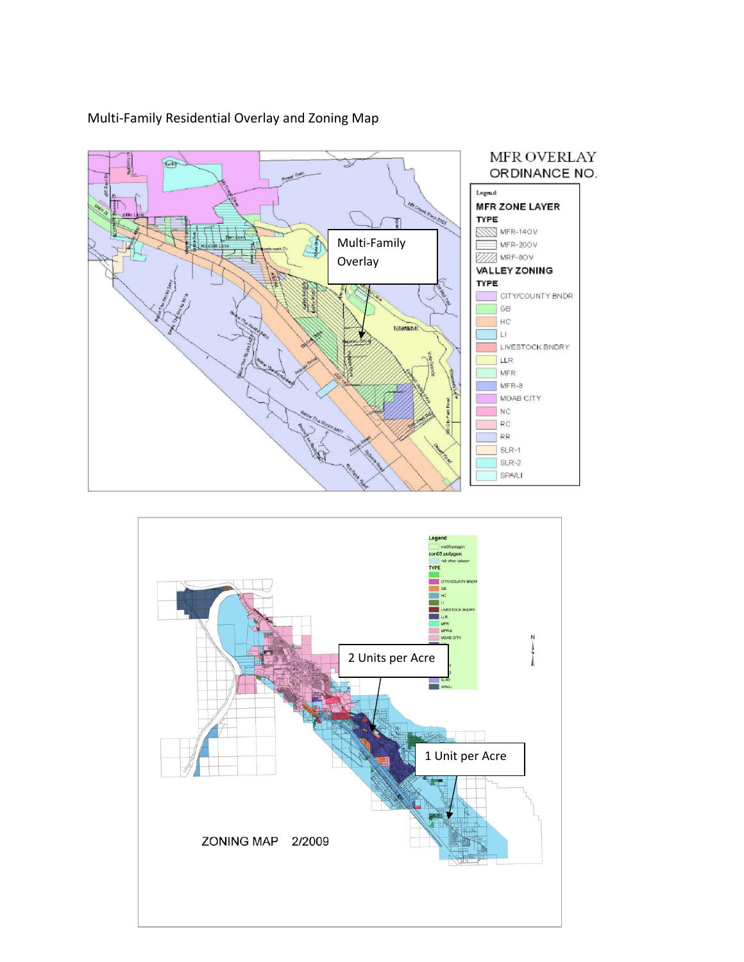

# Multi‐Family Residential Overlay and Zoning Map

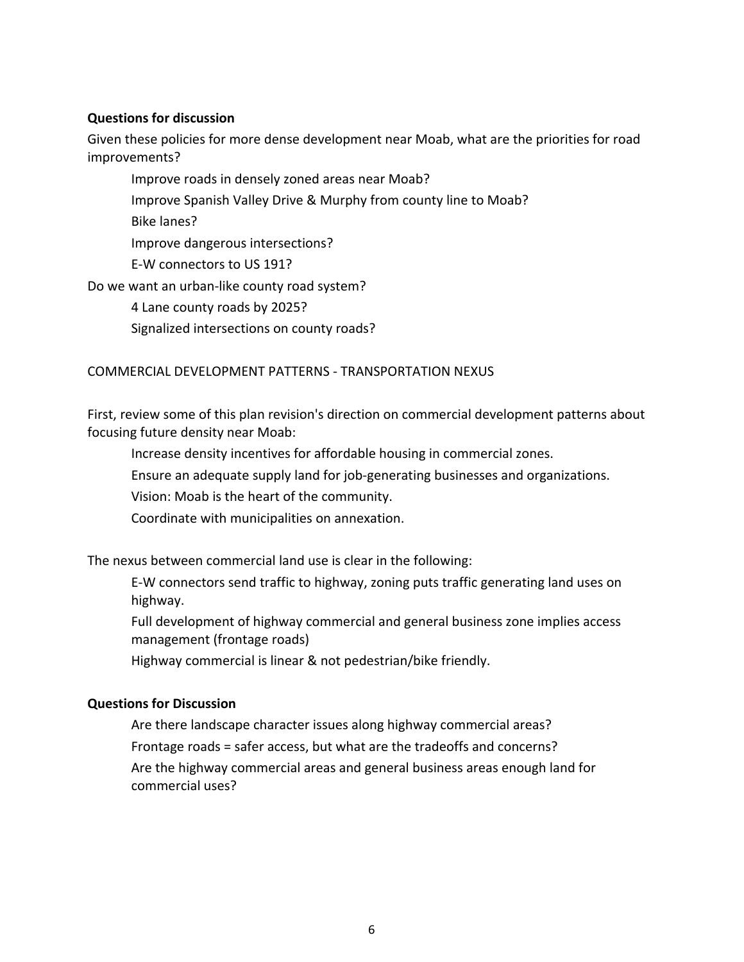#### **Questions for discussion**

Given these policies for more dense development near Moab, what are the priorities for road improvements?

Improve roads in densely zoned areas near Moab? Improve Spanish Valley Drive & Murphy from county line to Moab? Bike lanes? Improve dangerous intersections? E‐W connectors to US 191? Do we want an urban-like county road system? 4 Lane county roads by 2025?

Signalized intersections on county roads?

### COMMERCIAL DEVELOPMENT PATTERNS ‐ TRANSPORTATION NEXUS

First, review some of this plan revision's direction on commercial development patterns about focusing future density near Moab:

Increase density incentives for affordable housing in commercial zones.

Ensure an adequate supply land for job‐generating businesses and organizations.

Vision: Moab is the heart of the community.

Coordinate with municipalities on annexation.

The nexus between commercial land use is clear in the following:

E‐W connectors send traffic to highway, zoning puts traffic generating land uses on highway.

Full development of highway commercial and general business zone implies access management (frontage roads)

Highway commercial is linear & not pedestrian/bike friendly.

#### **Questions for Discussion**

Are there landscape character issues along highway commercial areas? Frontage roads = safer access, but what are the tradeoffs and concerns? Are the highway commercial areas and general business areas enough land for commercial uses?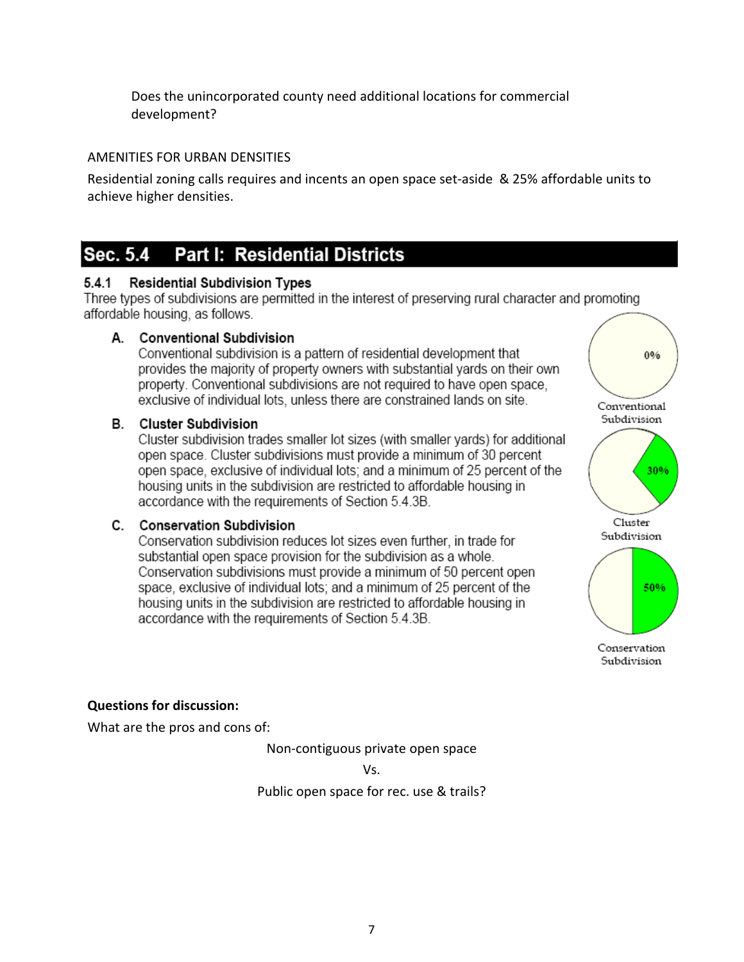Does the unincorporated county need additional locations for commercial development?

# AMENITIES FOR URBAN DENSITIES

Residential zoning calls requires and incents an open space set‐aside & 25% affordable units to achieve higher densities.

#### **Part I: Residential Districts** Sec. 5.4

#### $5.4.1$ **Residential Subdivision Types**

Three types of subdivisions are permitted in the interest of preserving rural character and promoting affordable housing, as follows.

# A. Conventional Subdivision

Conventional subdivision is a pattern of residential development that provides the majority of property owners with substantial yards on their own property. Conventional subdivisions are not required to have open space. exclusive of individual lots, unless there are constrained lands on site.

# **B.** Cluster Subdivision

Cluster subdivision trades smaller lot sizes (with smaller yards) for additional open space. Cluster subdivisions must provide a minimum of 30 percent open space, exclusive of individual lots; and a minimum of 25 percent of the housing units in the subdivision are restricted to affordable housing in accordance with the requirements of Section 5.4.3B.

# C. Conservation Subdivision

Conservation subdivision reduces lot sizes even further, in trade for substantial open space provision for the subdivision as a whole. Conservation subdivisions must provide a minimum of 50 percent open space, exclusive of individual lots; and a minimum of 25 percent of the housing units in the subdivision are restricted to affordable housing in accordance with the requirements of Section 5.4.3B.



Subdivision

# **Questions for discussion:**

What are the pros and cons of:

Non‐contiguous private open space

Vs.

Public open space for rec. use & trails?